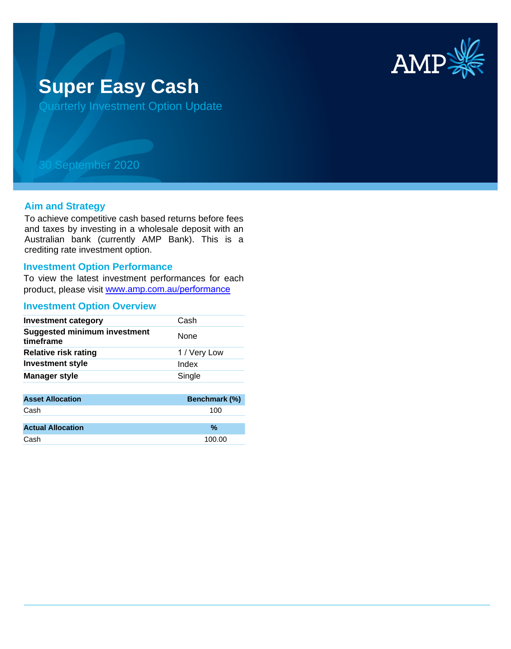

# **Super Easy Cash**

Quarterly Investment Option Update

## 30 September 2020

### **Aim and Strategy**

To achieve competitive cash based returns before fees and taxes by investing in a wholesale deposit with an Australian bank (currently AMP Bank). This is a crediting rate investment option.

#### **Investment Option Performance**

To view the latest investment performances for each product, please visit www.amp.com.au/performance

#### **Investment Option Overview**

| <b>Investment category</b>                       | Cash         |
|--------------------------------------------------|--------------|
| <b>Suggested minimum investment</b><br>timeframe | None         |
| <b>Relative risk rating</b>                      | 1 / Very Low |
| <b>Investment style</b>                          | Index        |
| <b>Manager style</b>                             | Single       |
|                                                  |              |

| <b>Asset Allocation</b>  | <b>Benchmark (%)</b> |
|--------------------------|----------------------|
| Cash                     | 100                  |
|                          |                      |
| <b>Actual Allocation</b> | $\frac{9}{6}$        |
| Cash                     | 100.00               |